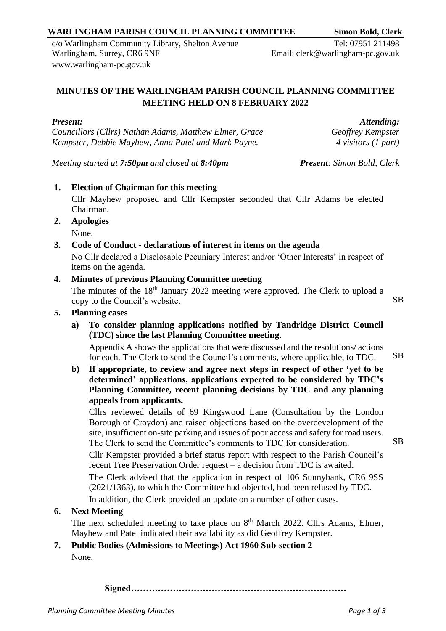### **WARLINGHAM PARISH COUNCIL PLANNING COMMITTEE Simon Bold, Clerk**

c/o Warlingham Community Library, Shelton Avenue Warlingham, Surrey, CR6 9NF [www.warlingham-pc.gov.uk](http://www.warlingham-pc.gov.uk/)

**Signed………………………………………………………………**

# **MINUTES OF THE WARLINGHAM PARISH COUNCIL PLANNING COMMITTEE MEETING HELD ON 8 FEBRUARY 2022**

*Present: Councillors (Cllrs) Nathan Adams, Matthew Elmer, Grace Kempster, Debbie Mayhew, Anna Patel and Mark Payne.*

*Attending: Geoffrey Kempster 4 visitors (1 part)*

*Meeting started at 7:50pm and closed at 8:40pm Present: Simon Bold, Clerk*

Email: clerk@warlingham-pc.gov.uk

# **1. Election of Chairman for this meeting**

Cllr Mayhew proposed and Cllr Kempster seconded that Cllr Adams be elected Chairman.

**2. Apologies**

**5. Planning cases**

None.

#### **3. Code of Conduct - declarations of interest in items on the agenda**

No Cllr declared a Disclosable Pecuniary Interest and/or 'Other Interests' in respect of items on the agenda.

#### **4. Minutes of previous Planning Committee meeting**

The minutes of the 18<sup>th</sup> January 2022 meeting were approved. The Clerk to upload a copy to the Council's website. SB

# **a) To consider planning applications notified by Tandridge District Council (TDC) since the last Planning Committee meeting.**

Appendix A shows the applications that were discussed and the resolutions/ actions for each. The Clerk to send the Council's comments, where applicable, to TDC. SB

**b) If appropriate, to review and agree next steps in respect of other 'yet to be determined' applications, applications expected to be considered by TDC's Planning Committee, recent planning decisions by TDC and any planning appeals from applicants.**

Cllrs reviewed details of 69 Kingswood Lane (Consultation by the London Borough of Croydon) and raised objections based on the overdevelopment of the site, insufficient on-site parking and issues of poor access and safety for road users. The Clerk to send the Committee's comments to TDC for consideration.

Cllr Kempster provided a brief status report with respect to the Parish Council's recent Tree Preservation Order request – a decision from TDC is awaited. The Clerk advised that the application in respect of 106 Sunnybank, CR6 9SS (2021/1363), to which the Committee had objected, had been refused by TDC.

In addition, the Clerk provided an update on a number of other cases.

### **6. Next Meeting**

The next scheduled meeting to take place on  $8<sup>th</sup>$  March 2022. Cllrs Adams, Elmer, Mayhew and Patel indicated their availability as did Geoffrey Kempster. **7. Public Bodies (Admissions to Meetings) Act 1960 Sub-section 2**

None.

SB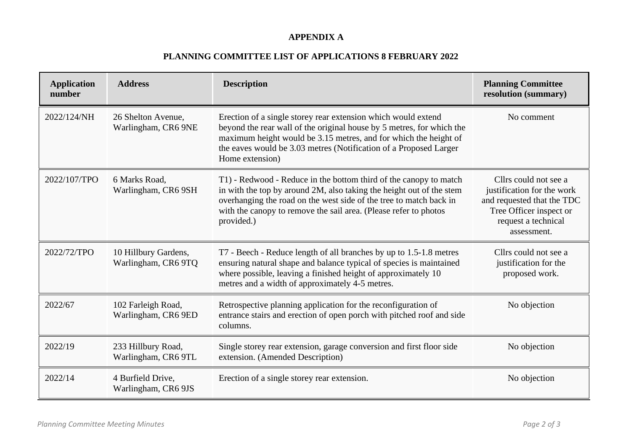#### **APPENDIX A**

# **PLANNING COMMITTEE LIST OF APPLICATIONS 8 FEBRUARY 2022**

| <b>Application</b><br>number | <b>Address</b>                              | <b>Description</b>                                                                                                                                                                                                                                                                                 | <b>Planning Committee</b><br>resolution (summary)                                                                                                  |
|------------------------------|---------------------------------------------|----------------------------------------------------------------------------------------------------------------------------------------------------------------------------------------------------------------------------------------------------------------------------------------------------|----------------------------------------------------------------------------------------------------------------------------------------------------|
| 2022/124/NH                  | 26 Shelton Avenue,<br>Warlingham, CR6 9NE   | Erection of a single storey rear extension which would extend<br>beyond the rear wall of the original house by 5 metres, for which the<br>maximum height would be 3.15 metres, and for which the height of<br>the eaves would be 3.03 metres (Notification of a Proposed Larger<br>Home extension) | No comment                                                                                                                                         |
| 2022/107/TPO                 | 6 Marks Road,<br>Warlingham, CR6 9SH        | T1) - Redwood - Reduce in the bottom third of the canopy to match<br>in with the top by around 2M, also taking the height out of the stem<br>overhanging the road on the west side of the tree to match back in<br>with the canopy to remove the sail area. (Please refer to photos<br>provided.)  | Cllrs could not see a<br>justification for the work<br>and requested that the TDC<br>Tree Officer inspect or<br>request a technical<br>assessment. |
| 2022/72/TPO                  | 10 Hillbury Gardens,<br>Warlingham, CR6 9TQ | T7 - Beech - Reduce length of all branches by up to 1.5-1.8 metres<br>ensuring natural shape and balance typical of species is maintained<br>where possible, leaving a finished height of approximately 10<br>metres and a width of approximately 4-5 metres.                                      | Cllrs could not see a<br>justification for the<br>proposed work.                                                                                   |
| 2022/67                      | 102 Farleigh Road,<br>Warlingham, CR6 9ED   | Retrospective planning application for the reconfiguration of<br>entrance stairs and erection of open porch with pitched roof and side<br>columns.                                                                                                                                                 | No objection                                                                                                                                       |
| 2022/19                      | 233 Hillbury Road,<br>Warlingham, CR6 9TL   | Single storey rear extension, garage conversion and first floor side<br>extension. (Amended Description)                                                                                                                                                                                           | No objection                                                                                                                                       |
| 2022/14                      | 4 Burfield Drive,<br>Warlingham, CR6 9JS    | Erection of a single storey rear extension.                                                                                                                                                                                                                                                        | No objection                                                                                                                                       |